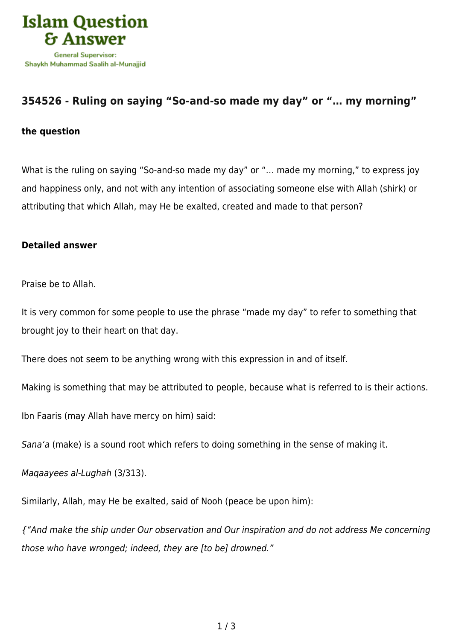

## **[354526 - Ruling on saying "So-and-so made my day" or "… my morning"](https://islamqa.com/en/answers/354526/ruling-on-saying-so-and-so-made-my-day-or-my-morning)**

## **the question**

What is the ruling on saying "So-and-so made my day" or "… made my morning," to express joy and happiness only, and not with any intention of associating someone else with Allah (shirk) or attributing that which Allah, may He be exalted, created and made to that person?

## **Detailed answer**

Praise be to Allah.

It is very common for some people to use the phrase "made my day" to refer to something that brought joy to their heart on that day.

There does not seem to be anything wrong with this expression in and of itself.

Making is something that may be attributed to people, because what is referred to is their actions.

Ibn Faaris (may Allah have mercy on him) said:

Sana'a (make) is a sound root which refers to doing something in the sense of making it.

Maqaayees al-Lughah (3/313).

Similarly, Allah, may He be exalted, said of Nooh (peace be upon him):

{"And make the ship under Our observation and Our inspiration and do not address Me concerning those who have wronged; indeed, they are [to be] drowned."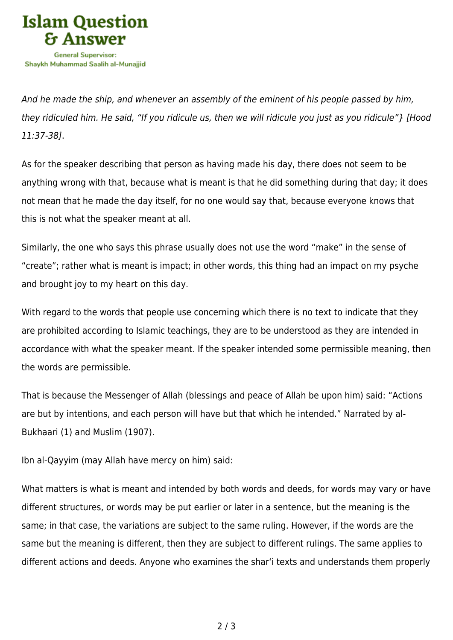

And he made the ship, and whenever an assembly of the eminent of his people passed by him, they ridiculed him. He said, "If you ridicule us, then we will ridicule you just as you ridicule"} [Hood 11:37-38].

As for the speaker describing that person as having made his day, there does not seem to be anything wrong with that, because what is meant is that he did something during that day; it does not mean that he made the day itself, for no one would say that, because everyone knows that this is not what the speaker meant at all.

Similarly, the one who says this phrase usually does not use the word "make" in the sense of "create"; rather what is meant is impact; in other words, this thing had an impact on my psyche and brought joy to my heart on this day.

With regard to the words that people use concerning which there is no text to indicate that they are prohibited according to Islamic teachings, they are to be understood as they are intended in accordance with what the speaker meant. If the speaker intended some permissible meaning, then the words are permissible.

That is because the Messenger of Allah (blessings and peace of Allah be upon him) said: "Actions are but by intentions, and each person will have but that which he intended." Narrated by al-Bukhaari (1) and Muslim (1907).

Ibn al-Qayyim (may Allah have mercy on him) said:

What matters is what is meant and intended by both words and deeds, for words may vary or have different structures, or words may be put earlier or later in a sentence, but the meaning is the same; in that case, the variations are subject to the same ruling. However, if the words are the same but the meaning is different, then they are subject to different rulings. The same applies to different actions and deeds. Anyone who examines the shar'i texts and understands them properly